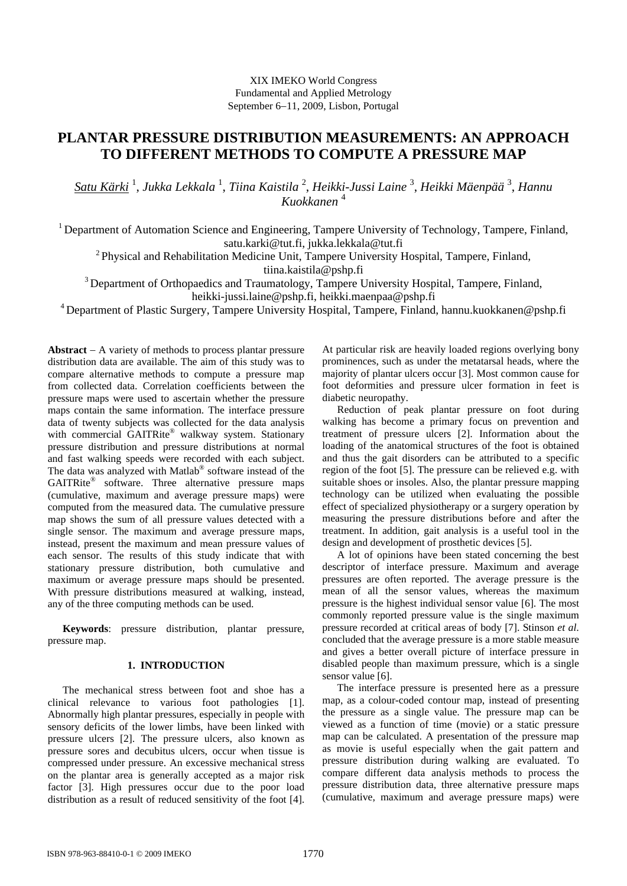## XIX IMEKO World Congress Fundamental and Applied Metrology September 6–11, 2009, Lisbon, Portugal

# **PLANTAR PRESSURE DISTRIBUTION MEASUREMENTS: AN APPROACH TO DIFFERENT METHODS TO COMPUTE A PRESSURE MAP**

*Satu Kärki* <sup>1</sup> , *Jukka Lekkala* <sup>1</sup> , *Tiina Kaistila* <sup>2</sup> , *Heikki-Jussi Laine* <sup>3</sup> , *Heikki Mäenpää* <sup>3</sup> , *Hannu Kuokkanen* <sup>4</sup>

<sup>1</sup> Department of Automation Science and Engineering, Tampere University of Technology, Tampere, Finland, [satu.karki@tut.fi,](mailto:satu.karki:@tut.fi) [jukka.lekkala@tut.fi](mailto:jukka.lekkala:@tut.fi)

<sup>2</sup> Physical and Rehabilitation Medicine Unit, Tampere University Hospital, Tampere, Finland,

[tiina.kaistila@pshp.fi](mailto:tiina.kaistila:@pshp.fi)

<sup>3</sup> Department of Orthopaedics and Traumatology, Tampere University Hospital, Tampere, Finland,

[heikki-jussi.laine@pshp.fi](mailto:heikki-jussi.laine:@pshp.fi), [heikki.maenpaa@pshp.fi](mailto:heikki.maenpaa:@pshp.fi)

<sup>4</sup> Department of Plastic Surgery, Tampere University Hospital, Tampere, Finland, [hannu.kuokkanen@pshp.fi](mailto:hannu.kuokkanen:@pshp.fi)

**Abstract**  $- A$  variety of methods to process plantar pressure distribution data are available. The aim of this study was to compare alternative methods to compute a pressure map from collected data. Correlation coefficients between the pressure maps were used to ascertain whether the pressure maps contain the same information. The interface pressure data of twenty subjects was collected for the data analysis with commercial GAITRite® walkway system. Stationary pressure distribution and pressure distributions at normal and fast walking speeds were recorded with each subject. The data was analyzed with Matlab® software instead of the GAITRite® software. Three alternative pressure maps (cumulative, maximum and average pressure maps) were computed from the measured data. The cumulative pressure map shows the sum of all pressure values detected with a single sensor. The maximum and average pressure maps, instead, present the maximum and mean pressure values of each sensor. The results of this study indicate that with stationary pressure distribution, both cumulative and maximum or average pressure maps should be presented. With pressure distributions measured at walking, instead, any of the three computing methods can be used.

**Keywords**: pressure distribution, plantar pressure, pressure map.

## **1. INTRODUCTION**

The mechanical stress between foot and shoe has a clinical relevance to various foot pathologies [1]. Abnormally high plantar pressures, especially in people with sensory deficits of the lower limbs, have been linked with pressure ulcers [2]. The pressure ulcers, also known as pressure sores and decubitus ulcers, occur when tissue is compressed under pressure. An excessive mechanical stress on the plantar area is generally accepted as a major risk factor [3]. High pressures occur due to the poor load distribution as a result of reduced sensitivity of the foot [4]. At particular risk are heavily loaded regions overlying bony prominences, such as under the metatarsal heads, where the majority of plantar ulcers occur [3]. Most common cause for foot deformities and pressure ulcer formation in feet is diabetic neuropathy.

Reduction of peak plantar pressure on foot during walking has become a primary focus on prevention and treatment of pressure ulcers [2]. Information about the loading of the anatomical structures of the foot is obtained and thus the gait disorders can be attributed to a specific region of the foot [5]. The pressure can be relieved e.g. with suitable shoes or insoles. Also, the plantar pressure mapping technology can be utilized when evaluating the possible effect of specialized physiotherapy or a surgery operation by measuring the pressure distributions before and after the treatment. In addition, gait analysis is a useful tool in the design and development of prosthetic devices [5].

A lot of opinions have been stated concerning the best descriptor of interface pressure. Maximum and average pressures are often reported. The average pressure is the mean of all the sensor values, whereas the maximum pressure is the highest individual sensor value [6]. The most commonly reported pressure value is the single maximum pressure recorded at critical areas of body [7]. Stinson *et al*. concluded that the average pressure is a more stable measure and gives a better overall picture of interface pressure in disabled people than maximum pressure, which is a single sensor value [6].

The interface pressure is presented here as a pressure map, as a colour-coded contour map, instead of presenting the pressure as a single value. The pressure map can be viewed as a function of time (movie) or a static pressure map can be calculated. A presentation of the pressure map as movie is useful especially when the gait pattern and pressure distribution during walking are evaluated. To compare different data analysis methods to process the pressure distribution data, three alternative pressure maps (cumulative, maximum and average pressure maps) were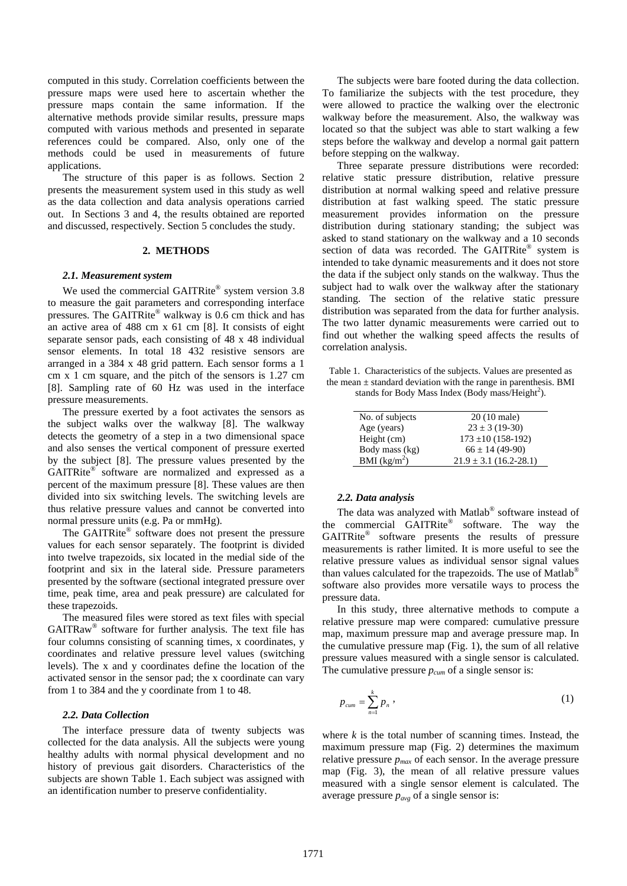computed in this study. Correlation coefficients between the pressure maps were used here to ascertain whether the pressure maps contain the same information. If the alternative methods provide similar results, pressure maps computed with various methods and presented in separate references could be compared. Also, only one of the methods could be used in measurements of future applications.

The structure of this paper is as follows. Section 2 presents the measurement system used in this study as well as the data collection and data analysis operations carried out. In Sections 3 and 4, the results obtained are reported and discussed, respectively. Section 5 concludes the study.

#### **2. METHODS**

#### *2.1. Measurement system*

We used the commercial GAITRite® system version 3.8 to measure the gait parameters and corresponding interface pressures. The GAITRite® walkway is 0.6 cm thick and has an active area of 488 cm x 61 cm [8]. It consists of eight separate sensor pads, each consisting of 48 x 48 individual sensor elements. In total 18 432 resistive sensors are arranged in a 384 x 48 grid pattern. Each sensor forms a 1 cm x 1 cm square, and the pitch of the sensors is 1.27 cm [8]. Sampling rate of 60 Hz was used in the interface pressure measurements.

The pressure exerted by a foot activates the sensors as the subject walks over the walkway [8]. The walkway detects the geometry of a step in a two dimensional space and also senses the vertical component of pressure exerted by the subject [8]. The pressure values presented by the GAITRite<sup>®</sup> software are normalized and expressed as a percent of the maximum pressure [8]. These values are then divided into six switching levels. The switching levels are thus relative pressure values and cannot be converted into normal pressure units (e.g. Pa or mmHg).

The GAITRite® software does not present the pressure values for each sensor separately. The footprint is divided into twelve trapezoids, six located in the medial side of the footprint and six in the lateral side. Pressure parameters presented by the software (sectional integrated pressure over time, peak time, area and peak pressure) are calculated for these trapezoids.

The measured files were stored as text files with special GAITRaw® software for further analysis. The text file has four columns consisting of scanning times, x coordinates, y coordinates and relative pressure level values (switching levels). The x and y coordinates define the location of the activated sensor in the sensor pad; the x coordinate can vary from 1 to 384 and the y coordinate from 1 to 48.

### *2.2. Data Collection*

The interface pressure data of twenty subjects was collected for the data analysis. All the subjects were young healthy adults with normal physical development and no history of previous gait disorders. Characteristics of the subjects are shown Table 1. Each subject was assigned with an identification number to preserve confidentiality.

The subjects were bare footed during the data collection. To familiarize the subjects with the test procedure, they were allowed to practice the walking over the electronic walkway before the measurement. Also, the walkway was located so that the subject was able to start walking a few steps before the walkway and develop a normal gait pattern before stepping on the walkway.

Three separate pressure distributions were recorded: relative static pressure distribution, relative pressure distribution at normal walking speed and relative pressure distribution at fast walking speed. The static pressure measurement provides information on the pressure distribution during stationary standing; the subject was asked to stand stationary on the walkway and a 10 seconds section of data was recorded. The GAITRite® system is intended to take dynamic measurements and it does not store the data if the subject only stands on the walkway. Thus the subject had to walk over the walkway after the stationary standing. The section of the relative static pressure distribution was separated from the data for further analysis. The two latter dynamic measurements were carried out to find out whether the walking speed affects the results of correlation analysis.

Table 1. Characteristics of the subjects. Values are presented as the mean  $\pm$  standard deviation with the range in parenthesis. BMI stands for Body Mass Index (Body mass/Height<sup>2</sup>).

| No. of subjects | $20(10 \text{ male})$      |
|-----------------|----------------------------|
| Age (years)     | $23 \pm 3(19-30)$          |
| Height (cm)     | $173 \pm 10 (158 - 192)$   |
| Body mass (kg)  | $66 \pm 14$ (49-90)        |
| BMI $(kg/m^2)$  | $21.9 \pm 3.1$ (16.2-28.1) |

#### *2.2. Data analysis*

The data was analyzed with Matlab® software instead of the commercial GAITRite® software. The way the GAITRite® software presents the results of pressure measurements is rather limited. It is more useful to see the relative pressure values as individual sensor signal values than values calculated for the trapezoids. The use of Matlab<sup>®</sup> software also provides more versatile ways to process the pressure data.

In this study, three alternative methods to compute a relative pressure map were compared: cumulative pressure map, maximum pressure map and average pressure map. In the cumulative pressure map (Fig. 1), the sum of all relative pressure values measured with a single sensor is calculated. The cumulative pressure *pcum* of a single sensor is:

$$
p_{\text{cum}} = \sum_{n=1}^{k} p_n \,,\tag{1}
$$

where *k* is the total number of scanning times. Instead, the maximum pressure map (Fig. 2) determines the maximum relative pressure *pmax* of each sensor. In the average pressure map (Fig. 3), the mean of all relative pressure values measured with a single sensor element is calculated. The average pressure *pavg* of a single sensor is: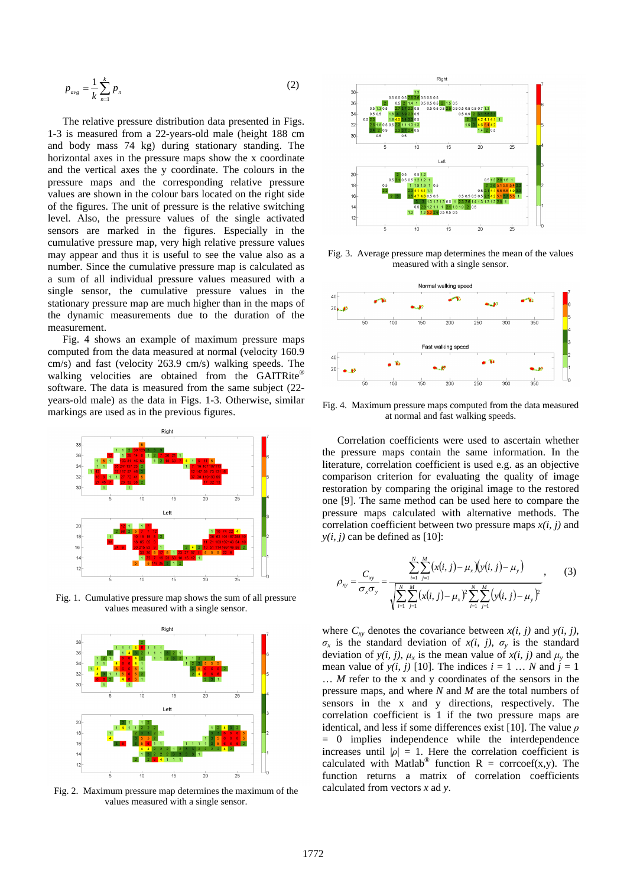$$
p_{avg} = \frac{1}{k} \sum_{n=1}^{k} p_n
$$
 (2)

The relative pressure distribution data presented in Figs. 1-3 is measured from a 22-years-old male (height 188 cm and body mass 74 kg) during stationary standing. The horizontal axes in the pressure maps show the x coordinate and the vertical axes the y coordinate. The colours in the pressure maps and the corresponding relative pressure values are shown in the colour bars located on the right side of the figures. The unit of pressure is the relative switching level. Also, the pressure values of the single activated sensors are marked in the figures. Especially in the cumulative pressure map, very high relative pressure values may appear and thus it is useful to see the value also as a number. Since the cumulative pressure map is calculated as a sum of all individual pressure values measured with a single sensor, the cumulative pressure values in the stationary pressure map are much higher than in the maps of the dynamic measurements due to the duration of the measurement.

Fig. 4 shows an example of maximum pressure maps computed from the data measured at normal (velocity 160.9 cm/s) and fast (velocity 263.9 cm/s) walking speeds. The walking velocities are obtained from the GAITRite® software. The data is measured from the same subject (22 years-old male) as the data in Figs. 1-3. Otherwise, similar markings are used as in the previous figures.



Fig. 1. Cumulative pressure map shows the sum of all pressure values measured with a single sensor.



Fig. 2. Maximum pressure map determines the maximum of the values measured with a single sensor.



Fig. 3. Average pressure map determines the mean of the values measured with a single sensor.



Fig. 4. Maximum pressure maps computed from the data measured at normal and fast walking speeds.

Correlation coefficients were used to ascertain whether the pressure maps contain the same information. In the literature, correlation coefficient is used e.g. as an objective comparison criterion for evaluating the quality of image restoration by comparing the original image to the restored one [9]. The same method can be used here to compare the pressure maps calculated with alternative methods. The correlation coefficient between two pressure maps *x(i, j)* and  $y(i, j)$  can be defined as [10]:

$$
\rho_{xy} = \frac{C_{xy}}{\sigma_x \sigma_y} = \frac{\sum_{i=1}^{N} \sum_{j=1}^{M} (x(i, j) - \mu_x)(y(i, j) - \mu_y)}{\sqrt{\sum_{i=1}^{N} \sum_{j=1}^{M} (x(i, j) - \mu_x)^2 \sum_{i=1}^{N} \sum_{j=1}^{M} (y(i, j) - \mu_y)^2}},
$$
(3)

where  $C_{xy}$  denotes the covariance between  $x(i, j)$  and  $y(i, j)$ ,  $\sigma_x$  is the standard deviation of  $x(i, j)$ ,  $\sigma_y$  is the standard deviation of  $y(i, j)$ ,  $\mu_x$  is the mean value of  $x(i, j)$  and  $\mu_y$  the mean value of  $y(i, j)$  [10]. The indices  $i = 1 \dots N$  and  $j = 1$ … *M* refer to the x and y coordinates of the sensors in the pressure maps, and where *N* and *M* are the total numbers of sensors in the x and y directions, respectively. The correlation coefficient is 1 if the two pressure maps are identical, and less if some differences exist [10]. The value  $\rho$ = 0 implies independence while the interdependence increases until  $|\rho| = 1$ . Here the correlation coefficient is calculated with Matlab<sup>®</sup> function R = corrcoef(x,y). The function returns a matrix of correlation coefficients calculated from vectors *x* ad *y*.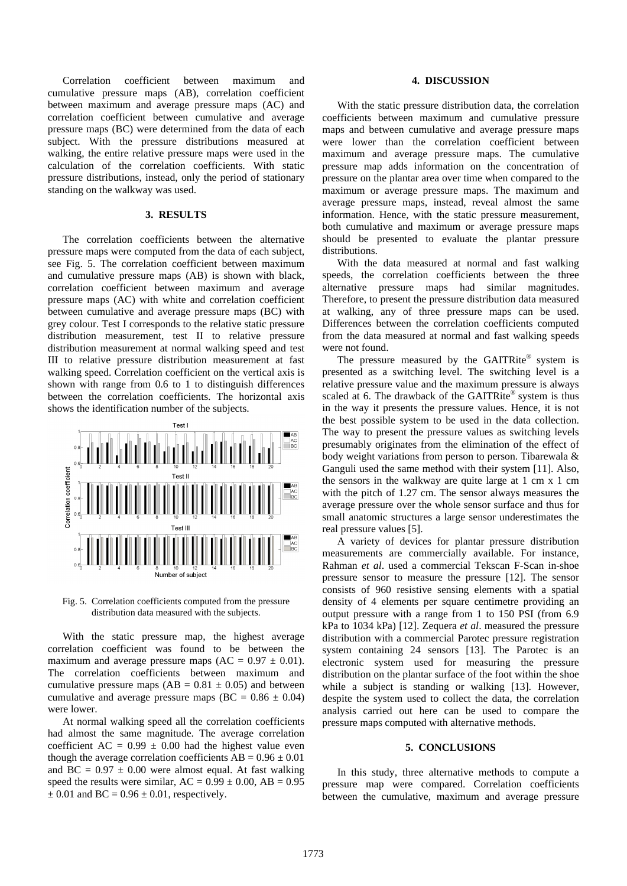Correlation coefficient between maximum and cumulative pressure maps (AB), correlation coefficient between maximum and average pressure maps (AC) and correlation coefficient between cumulative and average pressure maps (BC) were determined from the data of each subject. With the pressure distributions measured at walking, the entire relative pressure maps were used in the calculation of the correlation coefficients. With static pressure distributions, instead, only the period of stationary standing on the walkway was used.

# **3. RESULTS**

The correlation coefficients between the alternative pressure maps were computed from the data of each subject, see Fig. 5. The correlation coefficient between maximum and cumulative pressure maps (AB) is shown with black, correlation coefficient between maximum and average pressure maps (AC) with white and correlation coefficient between cumulative and average pressure maps (BC) with grey colour. Test I corresponds to the relative static pressure distribution measurement, test II to relative pressure distribution measurement at normal walking speed and test III to relative pressure distribution measurement at fast walking speed. Correlation coefficient on the vertical axis is shown with range from 0.6 to 1 to distinguish differences between the correlation coefficients. The horizontal axis shows the identification number of the subjects.



Fig. 5. Correlation coefficients computed from the pressure distribution data measured with the subjects.

With the static pressure map, the highest average correlation coefficient was found to be between the maximum and average pressure maps  $(AC = 0.97 \pm 0.01)$ . The correlation coefficients between maximum and cumulative pressure maps  $(AB = 0.81 \pm 0.05)$  and between cumulative and average pressure maps ( $BC = 0.86 \pm 0.04$ ) were lower.

At normal walking speed all the correlation coefficients had almost the same magnitude. The average correlation coefficient AC =  $0.99 \pm 0.00$  had the highest value even though the average correlation coefficients  $AB = 0.96 \pm 0.01$ and BC =  $0.97 \pm 0.00$  were almost equal. At fast walking speed the results were similar,  $AC = 0.99 \pm 0.00$ ,  $AB = 0.95$  $\pm$  0.01 and BC = 0.96  $\pm$  0.01, respectively.

## **4. DISCUSSION**

With the static pressure distribution data, the correlation coefficients between maximum and cumulative pressure maps and between cumulative and average pressure maps were lower than the correlation coefficient between maximum and average pressure maps. The cumulative pressure map adds information on the concentration of pressure on the plantar area over time when compared to the maximum or average pressure maps. The maximum and average pressure maps, instead, reveal almost the same information. Hence, with the static pressure measurement, both cumulative and maximum or average pressure maps should be presented to evaluate the plantar pressure distributions.

With the data measured at normal and fast walking speeds, the correlation coefficients between the three alternative pressure maps had similar magnitudes. Therefore, to present the pressure distribution data measured at walking, any of three pressure maps can be used. Differences between the correlation coefficients computed from the data measured at normal and fast walking speeds were not found.

The pressure measured by the GAITRite® system is presented as a switching level. The switching level is a relative pressure value and the maximum pressure is always scaled at 6. The drawback of the GAITRite® system is thus in the way it presents the pressure values. Hence, it is not the best possible system to be used in the data collection. The way to present the pressure values as switching levels presumably originates from the elimination of the effect of body weight variations from person to person. Tibarewala & Ganguli used the same method with their system [11]. Also, the sensors in the walkway are quite large at 1 cm x 1 cm with the pitch of 1.27 cm. The sensor always measures the average pressure over the whole sensor surface and thus for small anatomic structures a large sensor underestimates the real pressure values [5].

A variety of devices for plantar pressure distribution measurements are commercially available. For instance, Rahman *et al*. used a commercial Tekscan F-Scan in-shoe pressure sensor to measure the pressure [12]. The sensor consists of 960 resistive sensing elements with a spatial density of 4 elements per square centimetre providing an output pressure with a range from 1 to 150 PSI (from 6.9 kPa to 1034 kPa) [12]. Zequera *et al*. measured the pressure distribution with a commercial Parotec pressure registration system containing 24 sensors [13]. The Parotec is an electronic system used for measuring the pressure distribution on the plantar surface of the foot within the shoe while a subject is standing or walking [13]. However, despite the system used to collect the data, the correlation analysis carried out here can be used to compare the pressure maps computed with alternative methods.

#### **5. CONCLUSIONS**

In this study, three alternative methods to compute a pressure map were compared. Correlation coefficients between the cumulative, maximum and average pressure